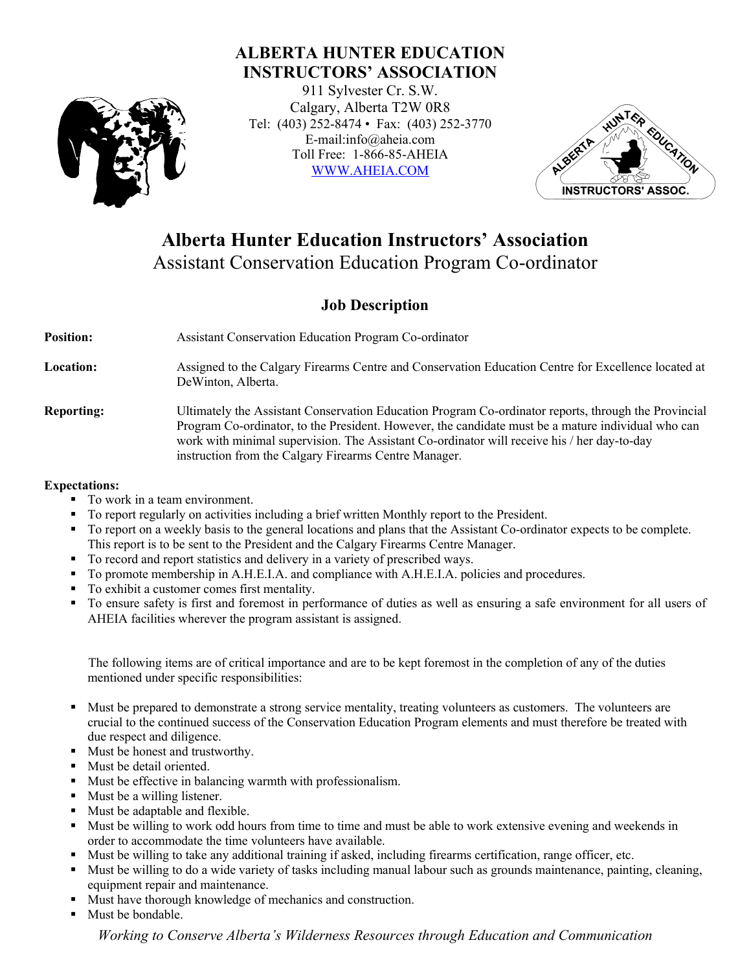

## **ALBERTA HUNTER EDUCATION INSTRUCTORS' ASSOCIATION**

911 Sylvester Cr. S.W. Calgary, Alberta T2W 0R8 Tel: (403) 252-8474 • Fax: (403) 252-3770 E-mail:info@aheia.com Toll Free: 1-866-85-AHEIA [WWW.AHEIA.COM](http://www.aheia.com/)



# **Alberta Hunter Education Instructors' Association**

Assistant Conservation Education Program Co-ordinator

### **Job Description**

| <b>Position:</b>     | <b>Assistant Conservation Education Program Co-ordinator</b>                                                                                                                                                                                                                                                                                                       |
|----------------------|--------------------------------------------------------------------------------------------------------------------------------------------------------------------------------------------------------------------------------------------------------------------------------------------------------------------------------------------------------------------|
| <b>Location:</b>     | Assigned to the Calgary Firearms Centre and Conservation Education Centre for Excellence located at<br>DeWinton, Alberta.                                                                                                                                                                                                                                          |
| <b>Reporting:</b>    | Ultimately the Assistant Conservation Education Program Co-ordinator reports, through the Provincial<br>Program Co-ordinator, to the President. However, the candidate must be a mature individual who can<br>work with minimal supervision. The Assistant Co-ordinator will receive his / her day-to-day<br>instruction from the Calgary Firearms Centre Manager. |
| <b>Expectations:</b> |                                                                                                                                                                                                                                                                                                                                                                    |

- To work in a team environment.
- To report regularly on activities including a brief written Monthly report to the President.
- To report on a weekly basis to the general locations and plans that the Assistant Co-ordinator expects to be complete. This report is to be sent to the President and the Calgary Firearms Centre Manager.
- To record and report statistics and delivery in a variety of prescribed ways.
- To promote membership in A.H.E.I.A. and compliance with A.H.E.I.A. policies and procedures.
- To exhibit a customer comes first mentality.
- To ensure safety is first and foremost in performance of duties as well as ensuring a safe environment for all users of AHEIA facilities wherever the program assistant is assigned.

The following items are of critical importance and are to be kept foremost in the completion of any of the duties mentioned under specific responsibilities:

- Must be prepared to demonstrate a strong service mentality, treating volunteers as customers. The volunteers are crucial to the continued success of the Conservation Education Program elements and must therefore be treated with due respect and diligence.
- Must be honest and trustworthy.
- Must be detail oriented.
- Must be effective in balancing warmth with professionalism.
- Must be a willing listener.
- Must be adaptable and flexible.
- Must be willing to work odd hours from time to time and must be able to work extensive evening and weekends in order to accommodate the time volunteers have available.
- Must be willing to take any additional training if asked, including firearms certification, range officer, etc.
- Must be willing to do a wide variety of tasks including manual labour such as grounds maintenance, painting, cleaning, equipment repair and maintenance.
- Must have thorough knowledge of mechanics and construction.
- Must be bondable.

*Working to Conserve Alberta's Wilderness Resources through Education and Communication*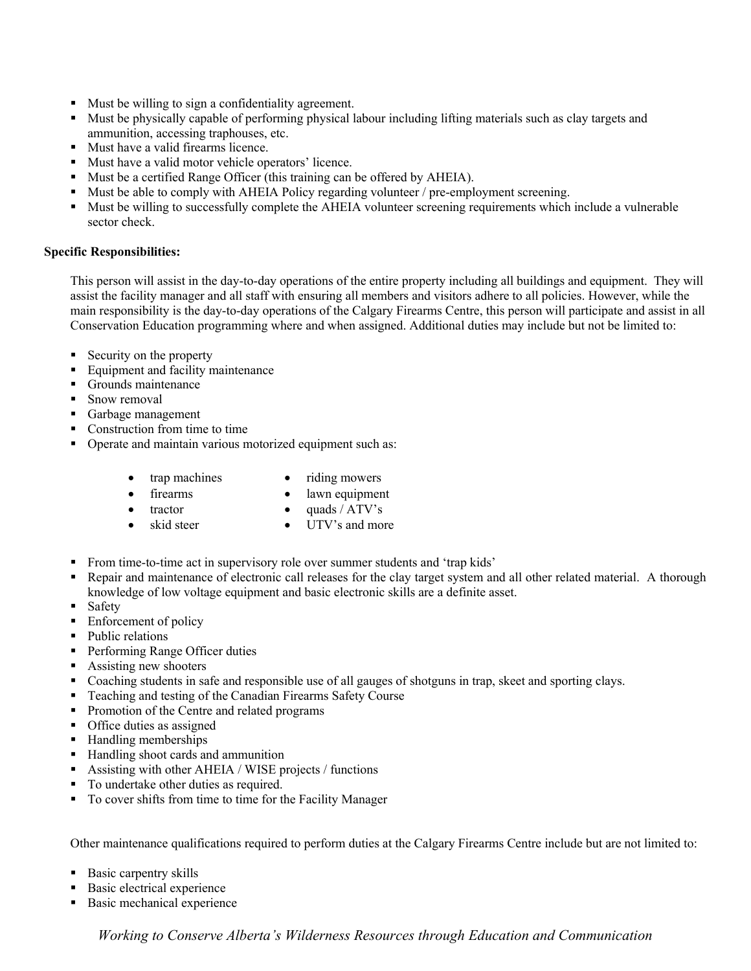- Must be willing to sign a confidentiality agreement.
- Must be physically capable of performing physical labour including lifting materials such as clay targets and ammunition, accessing traphouses, etc.
- Must have a valid firearms licence.
- Must have a valid motor vehicle operators' licence.
- Must be a certified Range Officer (this training can be offered by AHEIA).
- Must be able to comply with AHEIA Policy regarding volunteer / pre-employment screening.
- Must be willing to successfully complete the AHEIA volunteer screening requirements which include a vulnerable sector check.

#### **Specific Responsibilities:**

This person will assist in the day-to-day operations of the entire property including all buildings and equipment. They will assist the facility manager and all staff with ensuring all members and visitors adhere to all policies. However, while the main responsibility is the day-to-day operations of the Calgary Firearms Centre, this person will participate and assist in all Conservation Education programming where and when assigned. Additional duties may include but not be limited to:

- Security on the property
- Equipment and facility maintenance
- Grounds maintenance
- Snow removal
- Garbage management
- Construction from time to time
- Operate and maintain various motorized equipment such as:
	- - trap machines riding mowers
	- firearms lawn equipment
		- tractor quads / ATV's
	-
	- skid steer UTV's and more
- From time-to-time act in supervisory role over summer students and 'trap kids'
- Repair and maintenance of electronic call releases for the clay target system and all other related material. A thorough knowledge of low voltage equipment and basic electronic skills are a definite asset.
- Safety
- Enforcement of policy
- Public relations
- Performing Range Officer duties
- Assisting new shooters
- Coaching students in safe and responsible use of all gauges of shotguns in trap, skeet and sporting clays.
- Teaching and testing of the Canadian Firearms Safety Course
- Promotion of the Centre and related programs
- Office duties as assigned
- Handling memberships
- Handling shoot cards and ammunition
- Assisting with other AHEIA / WISE projects / functions
- To undertake other duties as required.
- To cover shifts from time to time for the Facility Manager

Other maintenance qualifications required to perform duties at the Calgary Firearms Centre include but are not limited to:

- Basic carpentry skills
- Basic electrical experience
- Basic mechanical experience

*Working to Conserve Alberta's Wilderness Resources through Education and Communication*